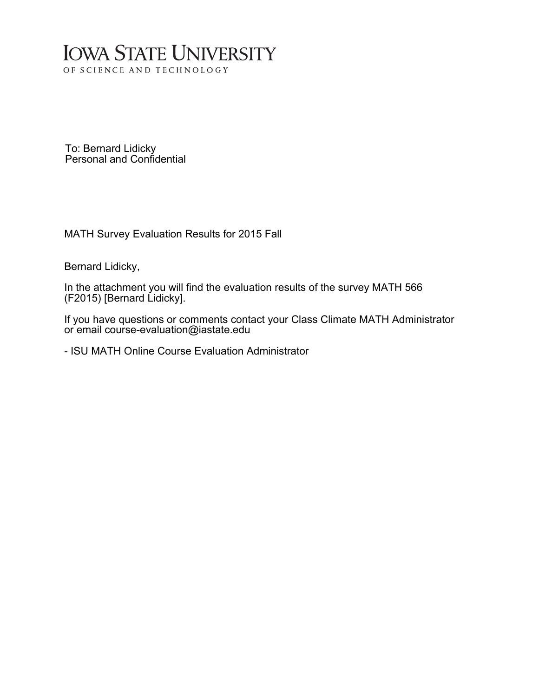## **IOWA STATE UNIVERSITY** OF SCIENCE AND TECHNOLOGY

To: Bernard Lidicky Personal and Confidential

MATH Survey Evaluation Results for 2015 Fall

Bernard Lidicky,

In the attachment you will find the evaluation results of the survey MATH 566 (F2015) [Bernard Lidicky].

If you have questions or comments contact your Class Climate MATH Administrator or email course-evaluation@iastate.edu

- ISU MATH Online Course Evaluation Administrator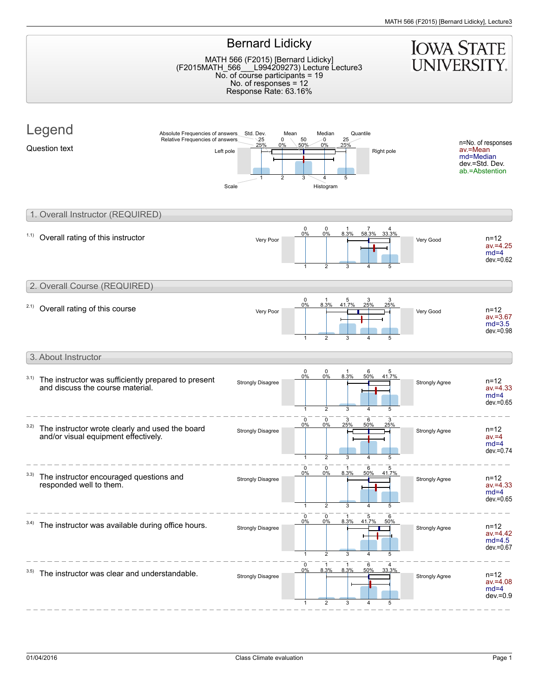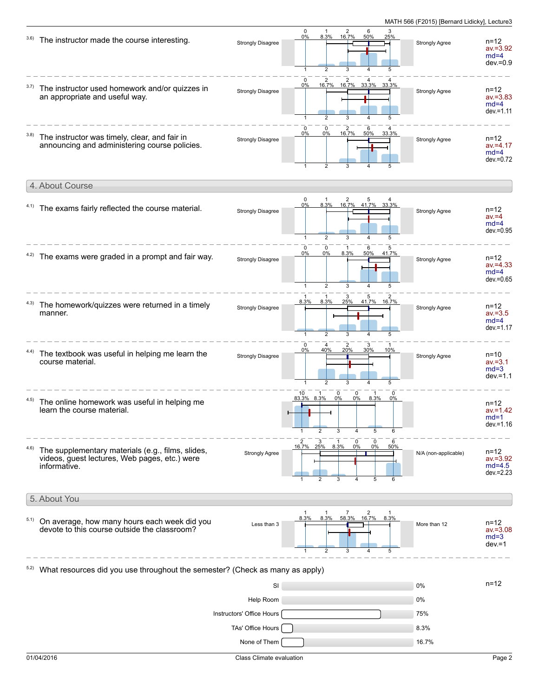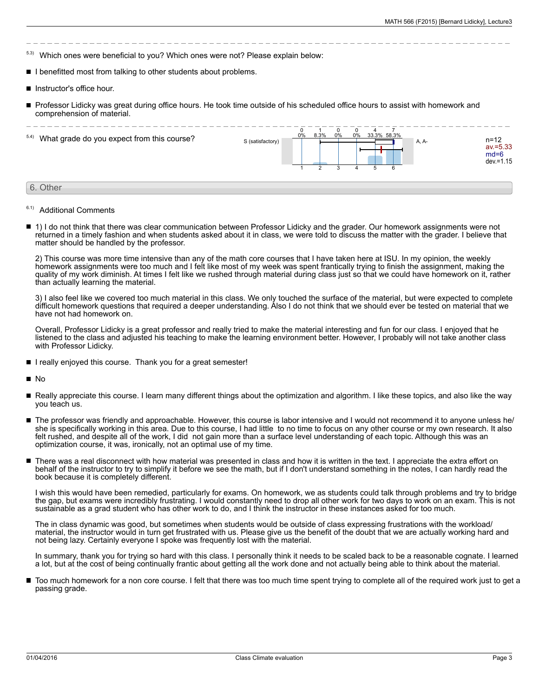- $53$  Which ones were beneficial to you? Which ones were not? Please explain below:
- I benefitted most from talking to other students about problems.
- Instructor's office hour.
- Professor Lidicky was great during office hours. He took time outside of his scheduled office hours to assist with homework and comprehension of material.



- 6.1) Additional Comments
- 1) I do not think that there was clear communication between Professor Lidicky and the grader. Our homework assignments were not returned in a timely fashion and when students asked about it in class, we were told to discuss the matter with the grader. I believe that matter should be handled by the professor.

2) This course was more time intensive than any of the math core courses that I have taken here at ISU. In my opinion, the weekly homework assignments were too much and I felt like most of my week was spent frantically trying to finish the assignment, making the quality of my work diminish. At times I felt like we rushed through material during class just so that we could have homework on it, rather than actually learning the material.

3) I also feel like we covered too much material in this class. We only touched the surface of the material, but were expected to complete difficult homework questions that required a deeper understanding. Also I do not think that we should ever be tested on material that we have not had homework on.

Overall, Professor Lidicky is a great professor and really tried to make the material interesting and fun for our class. I enjoyed that he listened to the class and adjusted his teaching to make the learning environment better. However, I probably will not take another class with Professor Lidicky.

I really enjoyed this course. Thank you for a great semester!

 $\blacksquare$ No

- Really appreciate this course. I learn many different things about the optimization and algorithm. I like these topics, and also like the way you teach us.
- The professor was friendly and approachable. However, this course is labor intensive and I would not recommend it to anyone unless he/ she is specifically working in this area. Due to this course, I had little to no time to focus on any other course or my own research. It also felt rushed, and despite all of the work, I did not gain more than a surface level understanding of each topic. Although this was an optimization course, it was, ironically, not an optimal use of my time.
- There was a real disconnect with how material was presented in class and how it is written in the text. I appreciate the extra effort on behalf of the instructor to try to simplify it before we see the math, but if I don't understand something in the notes, I can hardly read the book because it is completely different.

I wish this would have been remedied, particularly for exams. On homework, we as students could talk through problems and try to bridge the gap, but exams were incredibly frustrating. I would constantly need to drop all other work for two days to work on an exam. This is not sustainable as a grad student who has other work to do, and I think the instructor in these instances asked for too much.

The in class dynamic was good, but sometimes when students would be outside of class expressing frustrations with the workload/ material, the instructor would in turn get frustrated with us. Please give us the benefit of the doubt that we are actually working hard and not being lazy. Certainly everyone I spoke was frequently lost with the material.

In summary, thank you for trying so hard with this class. I personally think it needs to be scaled back to be a reasonable cognate. I learned a lot, but at the cost of being continually frantic about getting all the work done and not actually being able to think about the material.

Too much homework for a non core course. I felt that there was too much time spent trying to complete all of the required work just to get a passing grade.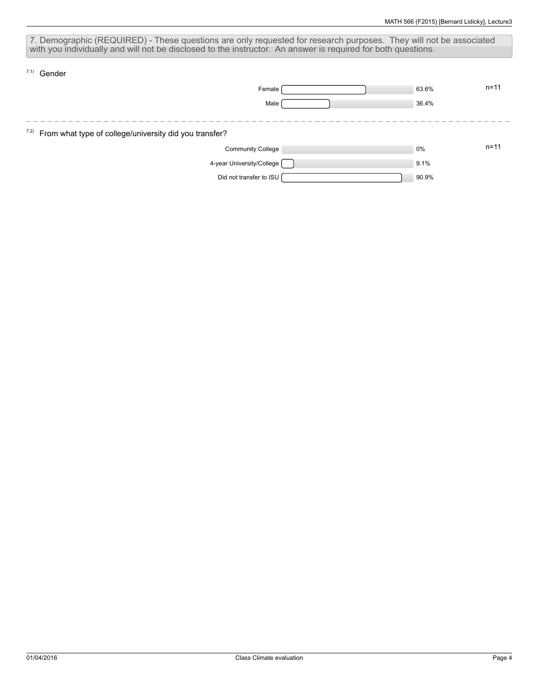| 7. Demographic (REQUIRED) - These questions are only requested for research purposes. They will not be associated |       |          |  |  |  |  |  |  |
|-------------------------------------------------------------------------------------------------------------------|-------|----------|--|--|--|--|--|--|
| with you individually and will not be disclosed to the instructor. An answer is required for both questions.      |       |          |  |  |  |  |  |  |
| $7.1)$ Gender                                                                                                     |       |          |  |  |  |  |  |  |
| Female                                                                                                            | 63.6% | $n = 11$ |  |  |  |  |  |  |
| Male                                                                                                              | 36.4% |          |  |  |  |  |  |  |
|                                                                                                                   |       |          |  |  |  |  |  |  |
| <sup>7.2)</sup> From what type of college/university did you transfer?                                            |       |          |  |  |  |  |  |  |
| <b>Community College</b>                                                                                          | 0%    | $n = 11$ |  |  |  |  |  |  |
| 4-year University/College [                                                                                       | 9.1%  |          |  |  |  |  |  |  |
| Did not transfer to ISU                                                                                           | 90.9% |          |  |  |  |  |  |  |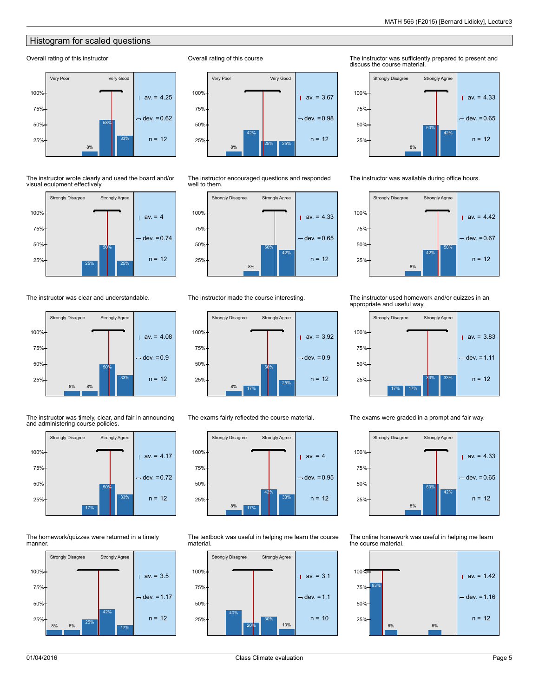## Histogram for scaled questions

## Overall rating of this instructor



The instructor wrote clearly and used the board and/or visual equipment effectively.



The instructor was clear and understandable.



The instructor was timely, clear, and fair in announcing and administering course policies.



The homework/quizzes were returned in a timely manner.



Overall rating of this course



The instructor encouraged questions and responded well to them.



The instructor made the course interesting.



The exams fairly reflected the course material.



The textbook was useful in helping me learn the course material.



The instructor was sufficiently prepared to present and discuss the course material.



The instructor was available during office hours.



The instructor used homework and/or quizzes in an appropriate and useful way.



The exams were graded in a prompt and fair way.

8% 50% 42% Strongly Disagree Strongly Agree  $av = 4.33$  $dev. = 0.65$  $25\%$  n = 12 50% 75% 100%

The online homework was useful in helping me learn the course material.

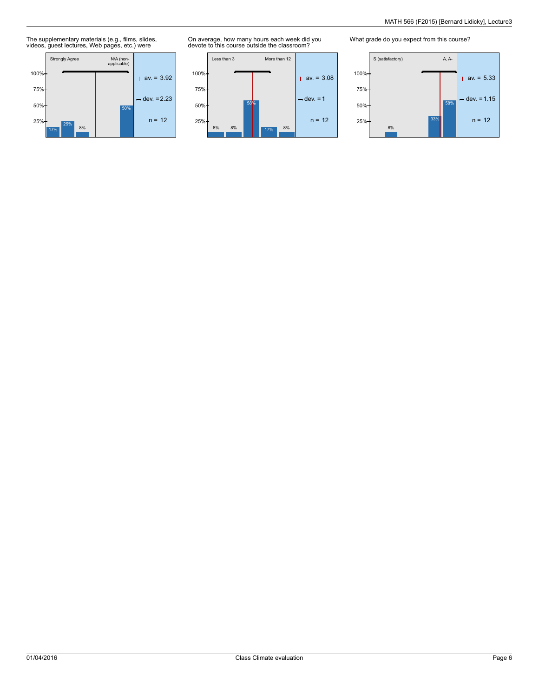The supplementary materials (e.g., films, slides, videos, guest lectures, Web pages, etc.) were



On average, how many hours each week did you devote to this course outside the classroom?



What grade do you expect from this course?

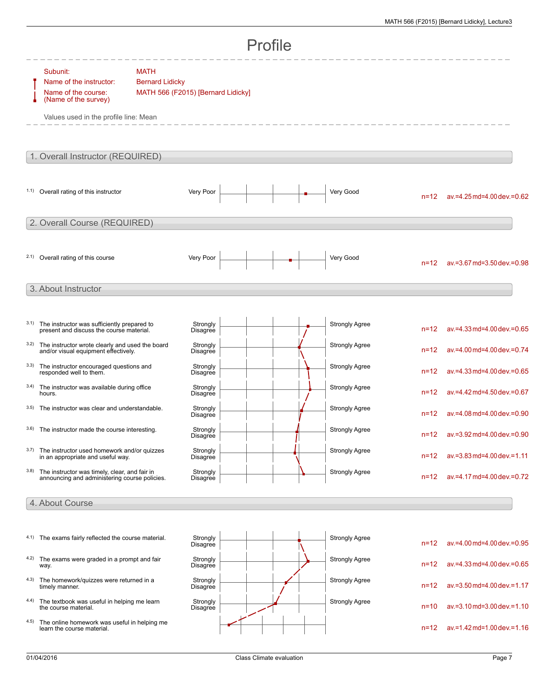| Profile                          |                                                                                                                             |                                                                             |                      |  |  |                       |          |                                    |  |
|----------------------------------|-----------------------------------------------------------------------------------------------------------------------------|-----------------------------------------------------------------------------|----------------------|--|--|-----------------------|----------|------------------------------------|--|
|                                  | Subunit:<br>Name of the instructor:<br>Name of the course:<br>(Name of the survey)<br>Values used in the profile line: Mean | <b>MATH</b><br><b>Bernard Lidicky</b><br>MATH 566 (F2015) [Bernard Lidicky] |                      |  |  |                       |          |                                    |  |
| 1. Overall Instructor (REQUIRED) |                                                                                                                             |                                                                             |                      |  |  |                       |          |                                    |  |
|                                  | 1.1) Overall rating of this instructor                                                                                      |                                                                             | Very Poor            |  |  | Very Good             | $n = 12$ | ay.=4.25 md=4.00 dev.=0.62         |  |
|                                  | 2. Overall Course (REQUIRED)                                                                                                |                                                                             |                      |  |  |                       |          |                                    |  |
|                                  | 2.1) Overall rating of this course                                                                                          |                                                                             | Very Poor            |  |  | Very Good             | $n = 12$ | $av = 3.67$ md= $3.50$ dev. = 0.98 |  |
|                                  | 3. About Instructor                                                                                                         |                                                                             |                      |  |  |                       |          |                                    |  |
| 3.1)                             | The instructor was sufficiently prepared to<br>present and discuss the course material.                                     |                                                                             | Strongly<br>Disagree |  |  | <b>Strongly Agree</b> | $n = 12$ | av.=4.33 md=4.00 dev.=0.65         |  |
| 3.2)                             | The instructor wrote clearly and used the board<br>and/or visual equipment effectively.                                     |                                                                             | Strongly<br>Disagree |  |  | <b>Strongly Agree</b> | $n = 12$ | av.=4.00 md=4.00 dev.=0.74         |  |
| 3.3)                             | The instructor encouraged questions and<br>responded well to them.                                                          |                                                                             | Strongly<br>Disagree |  |  | <b>Strongly Agree</b> | $n = 12$ | av.=4.33 md=4.00 dev.=0.65         |  |
| 3.4)                             | The instructor was available during office<br>hours.                                                                        |                                                                             | Strongly<br>Disagree |  |  | <b>Strongly Agree</b> | $n = 12$ | av.=4.42 md=4.50 dev.=0.67         |  |
| 3.5)                             | The instructor was clear and understandable.                                                                                |                                                                             | Strongly<br>Disagree |  |  | <b>Strongly Agree</b> | $n = 12$ | ay.=4.08 md=4.00 dev.=0.90         |  |
| 3.6)                             | The instructor made the course interesting.                                                                                 |                                                                             | Strongly<br>Disagree |  |  | <b>Strongly Agree</b> |          | n=12 av.=3.92 md=4.00 dev.=0.90    |  |
| 3.7)                             | The instructor used homework and/or quizzes<br>in an appropriate and useful way.                                            |                                                                             | Strongly<br>Disagree |  |  | <b>Strongly Agree</b> | $n = 12$ | $av = 3.83$ md=4.00 dev. = 1.11    |  |
| 3.8)                             | The instructor was timely, clear, and fair in<br>announcing and administering course policies.                              |                                                                             | Strongly<br>Disagree |  |  | <b>Strongly Agree</b> | $n = 12$ | av.=4.17 md=4.00 dev.=0.72         |  |
|                                  | 4. About Course                                                                                                             |                                                                             |                      |  |  |                       |          |                                    |  |
|                                  |                                                                                                                             |                                                                             |                      |  |  |                       |          |                                    |  |
|                                  | 4.1) The exams fairly reflected the course material.                                                                        |                                                                             | Strongly<br>Disagree |  |  | <b>Strongly Agree</b> | $n = 12$ | av.=4.00 md=4.00 dev.=0.95         |  |
| 4.2)                             | The exams were graded in a prompt and fair<br>way.                                                                          |                                                                             | Strongly<br>Disagree |  |  | Strongly Agree        | $n = 12$ | av.=4.33 md=4.00 dev.=0.65         |  |
| 4.3)                             | The homework/quizzes were returned in a<br>timely manner.                                                                   |                                                                             | Strongly<br>Disagree |  |  | Strongly Agree        | $n = 12$ | av.=3.50 md=4.00 dev.=1.17         |  |
| 4.4)                             | The textbook was useful in helping me learn<br>the course material.                                                         |                                                                             | Strongly<br>Disagree |  |  | <b>Strongly Agree</b> | $n = 10$ | $av = 3.10$ md= $3.00$ dev. = 1.10 |  |
| 4.5)                             | The online homework was useful in helping me<br>learn the course material.                                                  |                                                                             |                      |  |  |                       | $n = 12$ | av.=1.42 md=1.00 dev.=1.16         |  |